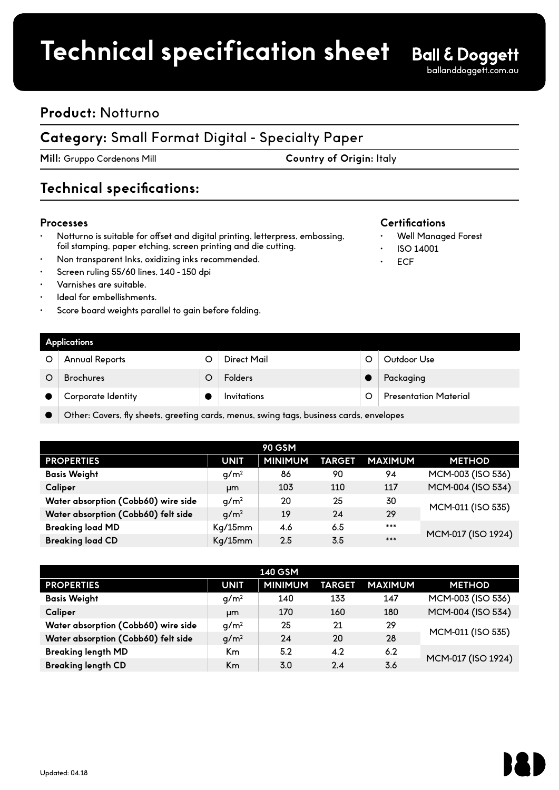## **Product spec sheet Technical specification sheet**

ballanddoggett.com.au

### **Product:** Notturno

### **Category:** Small Format Digital - Specialty Paper

**Mill:** Gruppo Cordenons Mill **Country of Origin:** Italy

### **Technical specifications:**

#### **Processes**

- Notturno is suitable for offset and digital printing, letterpress, embossing, foil stamping, paper etching, screen printing and die cutting.
- Non transparent Inks, oxidizing inks recommended.
- Screen ruling 55/60 lines, 140 150 dpi
- Varnishes are suitable.
- Ideal for embellishments.
- Score board weights parallel to gain before folding.

#### **Certifications**

- Well Managed Forest
- ISO 14001
- ECF

| <b>Applications</b>   |  |                    |  |                              |  |  |  |  |
|-----------------------|--|--------------------|--|------------------------------|--|--|--|--|
| <b>Annual Reports</b> |  | Direct Mail        |  | Outdoor Use                  |  |  |  |  |
| <b>Brochures</b>      |  | <b>Folders</b>     |  | Packaging                    |  |  |  |  |
| Corporate Identity    |  | <b>Invitations</b> |  | <b>Presentation Material</b> |  |  |  |  |
|                       |  |                    |  |                              |  |  |  |  |

Other: Covers, fly sheets, greeting cards, menus, swing tags, business cards, envelopes

| <b>90 GSM</b>                       |                  |                |               |                |                    |  |  |
|-------------------------------------|------------------|----------------|---------------|----------------|--------------------|--|--|
| <b>PROPERTIES</b>                   | <b>UNIT</b>      | <b>MINIMUM</b> | <b>TARGET</b> | <b>MAXIMUM</b> | <b>METHOD</b>      |  |  |
| <b>Basis Weight</b>                 | q/m <sup>2</sup> | 86             | 90            | 94             | MCM-003 (ISO 536)  |  |  |
| Caliper                             | µm               | 103            | 110           | 117            | MCM-004 (ISO 534)  |  |  |
| Water absorption (Cobb60) wire side | q/m <sup>2</sup> | 20             | 25            | 30             | MCM-011 (ISO 535)  |  |  |
| Water absorption (Cobb60) felt side | q/m <sup>2</sup> | 19             | 24            | 29             |                    |  |  |
| <b>Breaking load MD</b>             | Kg/15mm          | 4.6            | 6.5           | ***            |                    |  |  |
| <b>Breaking load CD</b>             | Kq/15mm          | 2.5            | 3.5           | ***            | MCM-017 (ISO 1924) |  |  |

| <b>140 GSM</b>                      |                  |                |               |                |                    |  |  |  |
|-------------------------------------|------------------|----------------|---------------|----------------|--------------------|--|--|--|
| <b>PROPERTIES</b>                   | <b>UNIT</b>      | <b>MINIMUM</b> | <b>TARGET</b> | <b>MAXIMUM</b> | <b>METHOD</b>      |  |  |  |
| <b>Basis Weight</b>                 | q/m <sup>2</sup> | 140            | 133           | 147            | MCM-003 (ISO 536)  |  |  |  |
| Caliper                             | <b>um</b>        | 170            | 160           | 180            | MCM-004 (ISO 534)  |  |  |  |
| Water absorption (Cobb60) wire side | q/m <sup>2</sup> | 25             | 21            | 29             |                    |  |  |  |
| Water absorption (Cobb60) felt side | q/m <sup>2</sup> | 24             | 20            | 28             | MCM-011 (ISO 535)  |  |  |  |
| <b>Breaking length MD</b>           | K <sub>m</sub>   | 5.2            | 4.2           | 6.2            | MCM-017 (ISO 1924) |  |  |  |
| <b>Breaking length CD</b>           | Km               | 3.0            | 2.4           | 3.6            |                    |  |  |  |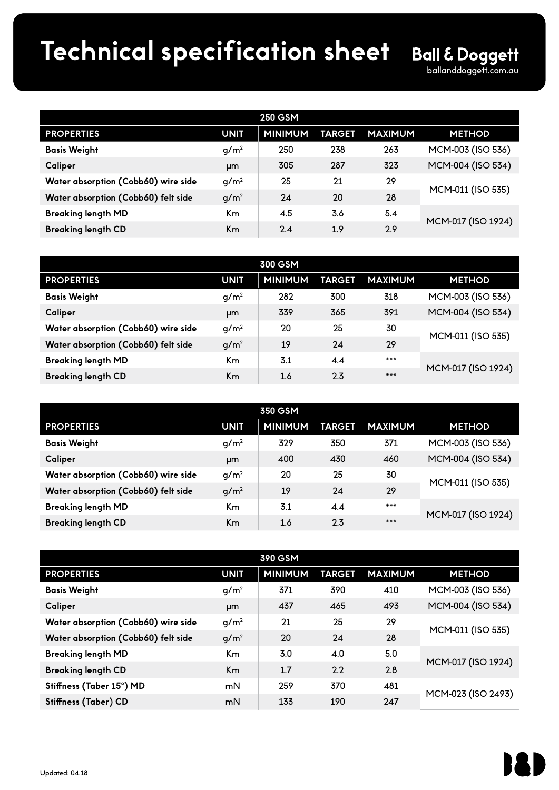# **Product spec sheet Technical specification sheet**

| <b>250 GSM</b>                      |                  |                |               |                |                    |  |  |  |
|-------------------------------------|------------------|----------------|---------------|----------------|--------------------|--|--|--|
| <b>PROPERTIES</b>                   | <b>UNIT</b>      | <b>MINIMUM</b> | <b>TARGET</b> | <b>MAXIMUM</b> | <b>METHOD</b>      |  |  |  |
| <b>Basis Weight</b>                 | q/m <sup>2</sup> | 250            | 238           | 263            | MCM-003 (ISO 536)  |  |  |  |
| Caliper                             | μm               | 305            | 287           | 323            | MCM-004 (ISO 534)  |  |  |  |
| Water absorption (Cobb60) wire side | q/m <sup>2</sup> | 25             | 21            | 29             |                    |  |  |  |
| Water absorption (Cobb60) felt side | q/m <sup>2</sup> | 24             | 20            | 28             | MCM-011 (ISO 535)  |  |  |  |
| <b>Breaking length MD</b>           | Кm               | 4.5            | 3.6           | 5.4            |                    |  |  |  |
| <b>Breaking length CD</b>           | Кm               | 2.4            | 1.9           | 2.9            | MCM-017 (ISO 1924) |  |  |  |

| 300 GSM                             |                  |                |               |                |                    |  |  |
|-------------------------------------|------------------|----------------|---------------|----------------|--------------------|--|--|
| <b>PROPERTIES</b>                   | <b>UNIT</b>      | <b>MINIMUM</b> | <b>TARGET</b> | <b>MAXIMUM</b> | <b>METHOD</b>      |  |  |
| <b>Basis Weight</b>                 | $q/m^2$          | 282            | 300           | 318            | MCM-003 (ISO 536)  |  |  |
| Caliper                             | μm               | 339            | 365           | 391            | MCM-004 (ISO 534)  |  |  |
| Water absorption (Cobb60) wire side | q/m <sup>2</sup> | 20             | 25            | 30             | MCM-011 (ISO 535)  |  |  |
| Water absorption (Cobb60) felt side | q/m <sup>2</sup> | 19             | 24            | 29             |                    |  |  |
| <b>Breaking length MD</b>           | Кm               | 3.1            | 4.4           | ***            |                    |  |  |
| <b>Breaking length CD</b>           | Кm               | 1.6            | 2.3           | ***            | MCM-017 (ISO 1924) |  |  |

| 350 GSM                             |                  |                |        |                |                    |  |  |  |
|-------------------------------------|------------------|----------------|--------|----------------|--------------------|--|--|--|
| <b>PROPERTIES</b>                   | <b>UNIT</b>      | <b>MINIMUM</b> | TARGET | <b>MAXIMUM</b> | <b>METHOD</b>      |  |  |  |
| <b>Basis Weight</b>                 | q/m <sup>2</sup> | 329            | 350    | 371            | MCM-003 (ISO 536)  |  |  |  |
| Caliper                             | μm               | 400            | 430    | 460            | MCM-004 (ISO 534)  |  |  |  |
| Water absorption (Cobb60) wire side | g/m <sup>2</sup> | 20             | 25     | 30             | MCM-011 (ISO 535)  |  |  |  |
| Water absorption (Cobb60) felt side | g/m <sup>2</sup> | 19             | 24     | 29             |                    |  |  |  |
| <b>Breaking length MD</b>           | K <sub>m</sub>   | 3.1            | 4.4    | ***            |                    |  |  |  |
| <b>Breaking length CD</b>           | Km               | 1.6            | 2.3    | ***            | MCM-017 (ISO 1924) |  |  |  |

| 390 GSM                             |                  |                |               |                |                    |  |  |
|-------------------------------------|------------------|----------------|---------------|----------------|--------------------|--|--|
| <b>PROPERTIES</b>                   | <b>UNIT</b>      | <b>MINIMUM</b> | <b>TARGET</b> | <b>MAXIMUM</b> | <b>METHOD</b>      |  |  |
| <b>Basis Weight</b>                 | g/m <sup>2</sup> | 371            | 390           | 410            | MCM-003 (ISO 536)  |  |  |
| Caliper                             | μm               | 437            | 465           | 493            | MCM-004 (ISO 534)  |  |  |
| Water absorption (Cobb60) wire side | q/m <sup>2</sup> | 21             | 25            | 29             | MCM-011 (ISO 535)  |  |  |
| Water absorption (Cobb60) felt side | g/m <sup>2</sup> | <b>20</b>      | 24            | 28             |                    |  |  |
| <b>Breaking length MD</b>           | Кm               | 3.0            | 4.0           | 5.0            |                    |  |  |
| <b>Breaking length CD</b>           | Km.              | 1.7            | 2.2           | 2.8            | MCM-017 (ISO 1924) |  |  |
| Stiffness (Taber 15°) MD            | mN               | 259            | 370           | 481            |                    |  |  |
| Stiffness (Taber) CD                | mN               | 133            | 190           | 247            | MCM-023 (ISO 2493) |  |  |